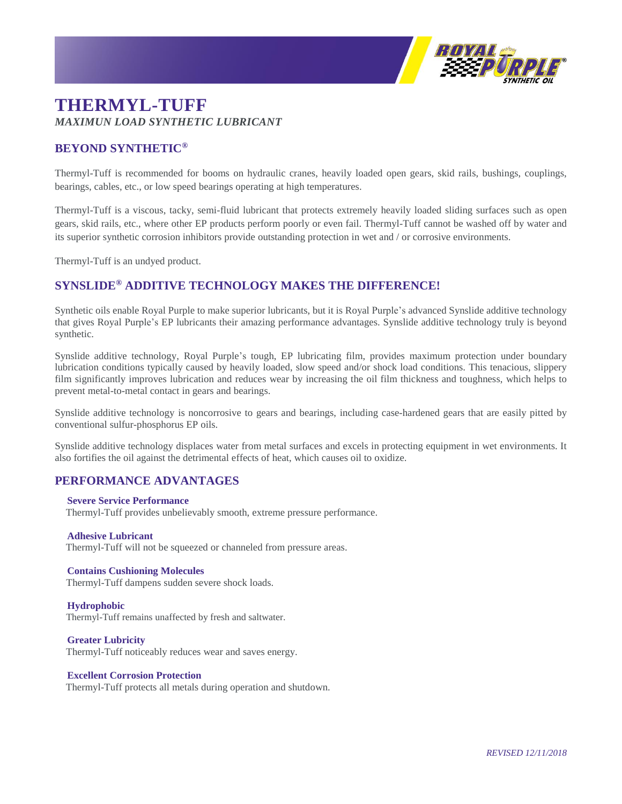

# **THERMYL-TUFF** *MAXIMUN LOAD SYNTHETIC LUBRICANT*

# **BEYOND SYNTHETIC®**

Thermyl-Tuff is recommended for booms on hydraulic cranes, heavily loaded open gears, skid rails, bushings, couplings, bearings, cables, etc., or low speed bearings operating at high temperatures.

Thermyl-Tuff is a viscous, tacky, semi-fluid lubricant that protects extremely heavily loaded sliding surfaces such as open gears, skid rails, etc., where other EP products perform poorly or even fail. Thermyl-Tuff cannot be washed off by water and its superior synthetic corrosion inhibitors provide outstanding protection in wet and / or corrosive environments.

Thermyl-Tuff is an undyed product.

# **SYNSLIDE® ADDITIVE TECHNOLOGY MAKES THE DIFFERENCE!**

Synthetic oils enable Royal Purple to make superior lubricants, but it is Royal Purple's advanced Synslide additive technology that gives Royal Purple's EP lubricants their amazing performance advantages. Synslide additive technology truly is beyond synthetic.

Synslide additive technology, Royal Purple's tough, EP lubricating film, provides maximum protection under boundary lubrication conditions typically caused by heavily loaded, slow speed and/or shock load conditions. This tenacious, slippery film significantly improves lubrication and reduces wear by increasing the oil film thickness and toughness, which helps to prevent metal-to-metal contact in gears and bearings.

Synslide additive technology is noncorrosive to gears and bearings, including case-hardened gears that are easily pitted by conventional sulfur-phosphorus EP oils.

Synslide additive technology displaces water from metal surfaces and excels in protecting equipment in wet environments. It also fortifies the oil against the detrimental effects of heat, which causes oil to oxidize.

# **PERFORMANCE ADVANTAGES**

#### **Severe Service Performance**

Thermyl-Tuff provides unbelievably smooth, extreme pressure performance.

#### **Adhesive Lubricant**

Thermyl-Tuff will not be squeezed or channeled from pressure areas.

### **Contains Cushioning Molecules**

Thermyl-Tuff dampens sudden severe shock loads.

#### **Hydrophobic**

Thermyl-Tuff remains unaffected by fresh and saltwater.

#### **Greater Lubricity**

Thermyl-Tuff noticeably reduces wear and saves energy.

#### **Excellent Corrosion Protection**

Thermyl-Tuff protects all metals during operation and shutdown.